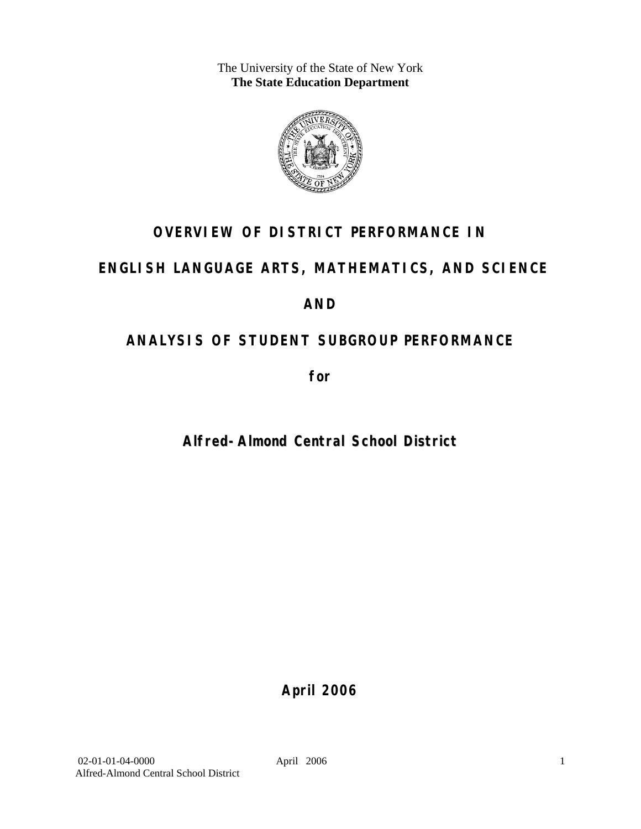The University of the State of New York **The State Education Department** 



# **OVERVIEW OF DISTRICT PERFORMANCE IN**

# **ENGLISH LANGUAGE ARTS, MATHEMATICS, AND SCIENCE**

# **AND**

# **ANALYSIS OF STUDENT SUBGROUP PERFORMANCE**

**for** 

# **Alfred-Almond Central School District**

**April 2006**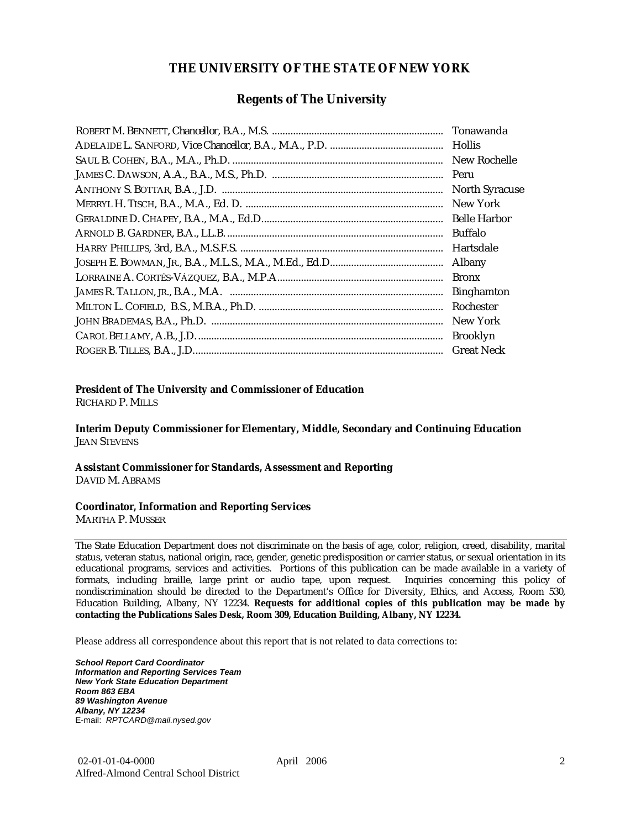### **THE UNIVERSITY OF THE STATE OF NEW YORK**

### **Regents of The University**

| Hollis                |
|-----------------------|
| New Rochelle          |
|                       |
| <b>North Syracuse</b> |
| New York              |
|                       |
| Buffalo               |
| Hartsdale             |
| Albany                |
| <b>Bronx</b>          |
| <b>Binghamton</b>     |
| Rochester             |
| New York              |
| <b>Brooklyn</b>       |
| <b>Great Neck</b>     |

### **President of The University and Commissioner of Education**

RICHARD P. MILLS

**Interim Deputy Commissioner for Elementary, Middle, Secondary and Continuing Education**  JEAN STEVENS

#### **Assistant Commissioner for Standards, Assessment and Reporting**  DAVID M. ABRAMS

#### **Coordinator, Information and Reporting Services**

MARTHA P. MUSSER

The State Education Department does not discriminate on the basis of age, color, religion, creed, disability, marital status, veteran status, national origin, race, gender, genetic predisposition or carrier status, or sexual orientation in its educational programs, services and activities. Portions of this publication can be made available in a variety of formats, including braille, large print or audio tape, upon request. Inquiries concerning this policy of nondiscrimination should be directed to the Department's Office for Diversity, Ethics, and Access, Room 530, Education Building, Albany, NY 12234. **Requests for additional copies of this publication may be made by contacting the Publications Sales Desk, Room 309, Education Building, Albany, NY 12234.** 

Please address all correspondence about this report that is not related to data corrections to:

*School Report Card Coordinator Information and Reporting Services Team New York State Education Department Room 863 EBA 89 Washington Avenue Albany, NY 12234*  E-mail: *RPTCARD@mail.nysed.gov*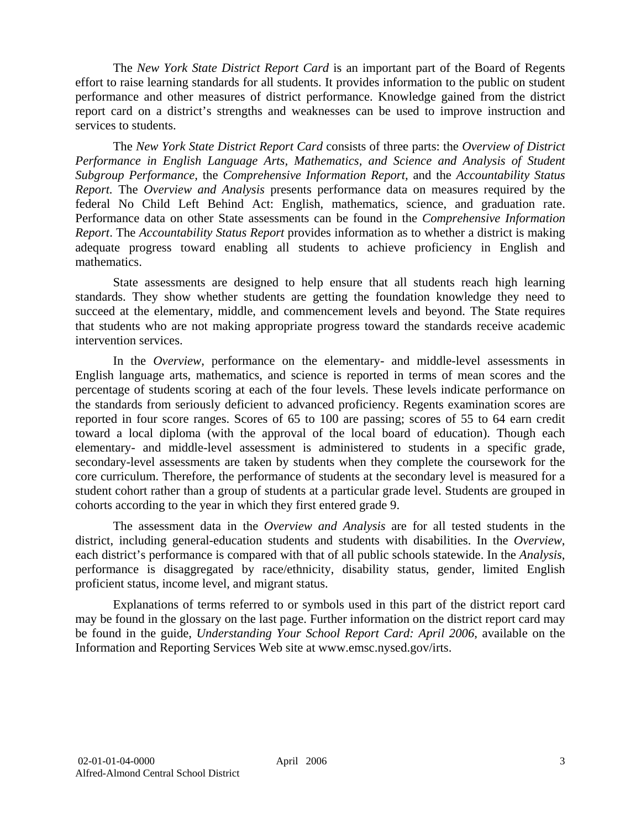The *New York State District Report Card* is an important part of the Board of Regents effort to raise learning standards for all students. It provides information to the public on student performance and other measures of district performance. Knowledge gained from the district report card on a district's strengths and weaknesses can be used to improve instruction and services to students.

The *New York State District Report Card* consists of three parts: the *Overview of District Performance in English Language Arts, Mathematics, and Science and Analysis of Student Subgroup Performance,* the *Comprehensive Information Report,* and the *Accountability Status Report.* The *Overview and Analysis* presents performance data on measures required by the federal No Child Left Behind Act: English, mathematics, science, and graduation rate. Performance data on other State assessments can be found in the *Comprehensive Information Report*. The *Accountability Status Report* provides information as to whether a district is making adequate progress toward enabling all students to achieve proficiency in English and mathematics.

State assessments are designed to help ensure that all students reach high learning standards. They show whether students are getting the foundation knowledge they need to succeed at the elementary, middle, and commencement levels and beyond. The State requires that students who are not making appropriate progress toward the standards receive academic intervention services.

In the *Overview*, performance on the elementary- and middle-level assessments in English language arts, mathematics, and science is reported in terms of mean scores and the percentage of students scoring at each of the four levels. These levels indicate performance on the standards from seriously deficient to advanced proficiency. Regents examination scores are reported in four score ranges. Scores of 65 to 100 are passing; scores of 55 to 64 earn credit toward a local diploma (with the approval of the local board of education). Though each elementary- and middle-level assessment is administered to students in a specific grade, secondary-level assessments are taken by students when they complete the coursework for the core curriculum. Therefore, the performance of students at the secondary level is measured for a student cohort rather than a group of students at a particular grade level. Students are grouped in cohorts according to the year in which they first entered grade 9.

The assessment data in the *Overview and Analysis* are for all tested students in the district, including general-education students and students with disabilities. In the *Overview*, each district's performance is compared with that of all public schools statewide. In the *Analysis*, performance is disaggregated by race/ethnicity, disability status, gender, limited English proficient status, income level, and migrant status.

Explanations of terms referred to or symbols used in this part of the district report card may be found in the glossary on the last page. Further information on the district report card may be found in the guide, *Understanding Your School Report Card: April 2006*, available on the Information and Reporting Services Web site at www.emsc.nysed.gov/irts.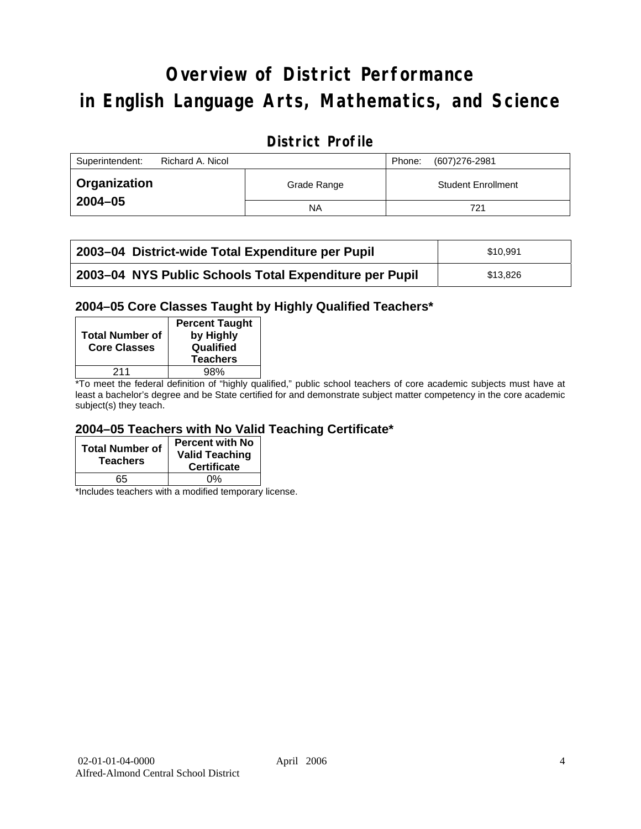# **Overview of District Performance in English Language Arts, Mathematics, and Science**

# **District Profile**

| Superintendent:<br>Richard A. Nicol |             | (607)276-2981<br>Phone:   |
|-------------------------------------|-------------|---------------------------|
| Organization                        | Grade Range | <b>Student Enrollment</b> |
| $2004 - 05$                         | NA          | 721                       |

| 2003-04 District-wide Total Expenditure per Pupil      | \$10.991 |
|--------------------------------------------------------|----------|
| 2003-04 NYS Public Schools Total Expenditure per Pupil | \$13.826 |

### **2004–05 Core Classes Taught by Highly Qualified Teachers\***

| <b>Total Number of</b><br><b>Core Classes</b> | <b>Percent Taught</b><br>by Highly<br>Qualified<br><b>Teachers</b> |
|-----------------------------------------------|--------------------------------------------------------------------|
| 211                                           | 98%                                                                |
| $\cdot$ $\cdot$ $\cdot$                       | .                                                                  |

\*To meet the federal definition of "highly qualified," public school teachers of core academic subjects must have at least a bachelor's degree and be State certified for and demonstrate subject matter competency in the core academic subject(s) they teach.

### **2004–05 Teachers with No Valid Teaching Certificate\***

| <b>Total Number of</b><br><b>Teachers</b> | <b>Percent with No</b><br><b>Valid Teaching</b><br><b>Certificate</b> |
|-------------------------------------------|-----------------------------------------------------------------------|
| 65                                        | ሰ%                                                                    |

\*Includes teachers with a modified temporary license.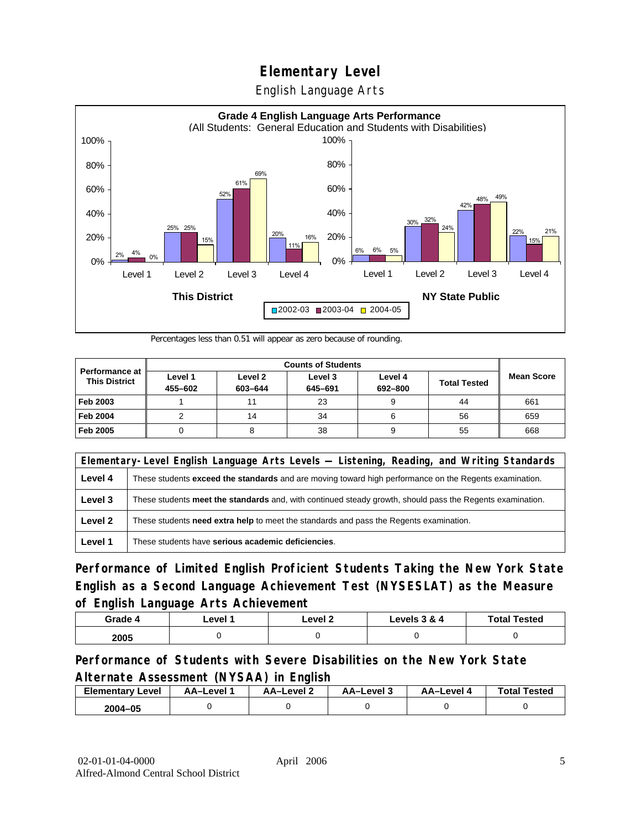English Language Arts



Percentages less than 0.51 will appear as zero because of rounding.

|                                               | <b>Counts of Students</b> |                    |                    |                    |                     |                   |
|-----------------------------------------------|---------------------------|--------------------|--------------------|--------------------|---------------------|-------------------|
| <b>Performance at</b><br><b>This District</b> | Level 1<br>455-602        | Level 2<br>603-644 | Level 3<br>645-691 | Level 4<br>692-800 | <b>Total Tested</b> | <b>Mean Score</b> |
| Feb 2003                                      |                           | 11                 | 23                 |                    | 44                  | 661               |
| <b>Feb 2004</b>                               |                           | 14                 | 34                 |                    | 56                  | 659               |
| Feb 2005                                      |                           |                    | 38                 |                    | 55                  | 668               |

|         | Elementary-Level English Language Arts Levels — Listening, Reading, and Writing Standards                 |  |  |  |  |
|---------|-----------------------------------------------------------------------------------------------------------|--|--|--|--|
| Level 4 | These students exceed the standards and are moving toward high performance on the Regents examination.    |  |  |  |  |
| Level 3 | These students meet the standards and, with continued steady growth, should pass the Regents examination. |  |  |  |  |
| Level 2 | These students need extra help to meet the standards and pass the Regents examination.                    |  |  |  |  |
| Level 1 | These students have serious academic deficiencies.                                                        |  |  |  |  |

**Performance of Limited English Proficient Students Taking the New York State English as a Second Language Achievement Test (NYSESLAT) as the Measure of English Language Arts Achievement**

| Grade 4 | _evel <i>*</i> | Level 2 | Levels 3 & 4 | <b>Total Tested</b> |
|---------|----------------|---------|--------------|---------------------|
| 2005    |                |         |              |                     |

### **Performance of Students with Severe Disabilities on the New York State Alternate Assessment (NYSAA) in English**

| <b>Elementary Level</b> | AA-Level | <b>AA-Level 2</b> | AA-Level 3 | AA-Level | <b>Total Tested</b> |
|-------------------------|----------|-------------------|------------|----------|---------------------|
| 2004-05                 |          |                   |            |          |                     |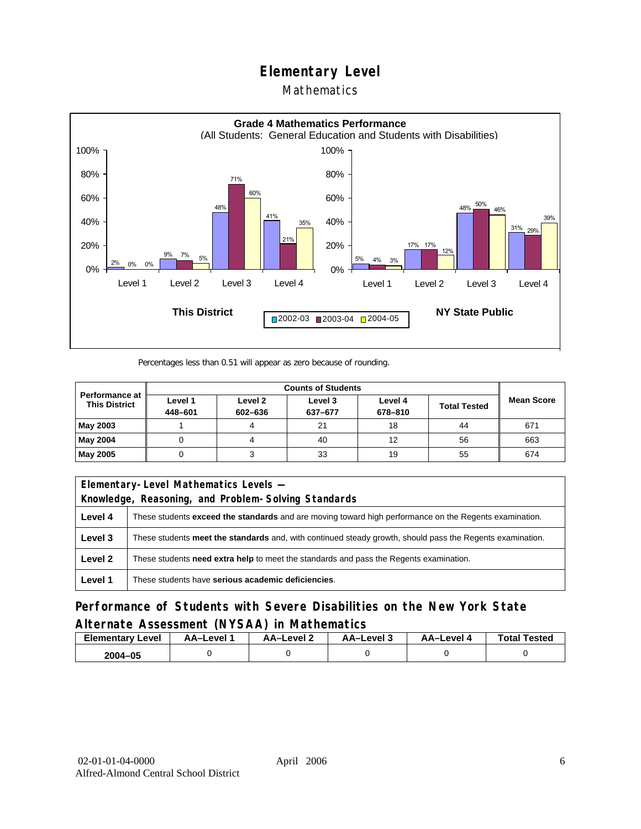### Mathematics



Percentages less than 0.51 will appear as zero because of rounding.

|                                               | <b>Counts of Students</b> |                    |                    |                    |                     |                   |
|-----------------------------------------------|---------------------------|--------------------|--------------------|--------------------|---------------------|-------------------|
| <b>Performance at</b><br><b>This District</b> | Level 1<br>448-601        | Level 2<br>602-636 | Level 3<br>637-677 | Level 4<br>678-810 | <b>Total Tested</b> | <b>Mean Score</b> |
| May 2003                                      |                           |                    | 21                 | 18                 | 44                  | 671               |
| May 2004                                      |                           |                    | 40                 | 12                 | 56                  | 663               |
| May 2005                                      |                           |                    | 33                 | 19                 | 55                  | 674               |

|         | Elementary-Level Mathematics Levels -                                                                     |  |  |  |  |
|---------|-----------------------------------------------------------------------------------------------------------|--|--|--|--|
|         | Knowledge, Reasoning, and Problem-Solving Standards                                                       |  |  |  |  |
| Level 4 | These students exceed the standards and are moving toward high performance on the Regents examination.    |  |  |  |  |
| Level 3 | These students meet the standards and, with continued steady growth, should pass the Regents examination. |  |  |  |  |
| Level 2 | These students <b>need extra help</b> to meet the standards and pass the Regents examination.             |  |  |  |  |
| Level 1 | These students have serious academic deficiencies.                                                        |  |  |  |  |

**Performance of Students with Severe Disabilities on the New York State Alternate Assessment (NYSAA) in Mathematics** 

| <b>Elementary</b><br>Level | AA-Level | – AA–Level ∠ | د AA–Level | AA–Level 4 | <b>Total Tested</b> |
|----------------------------|----------|--------------|------------|------------|---------------------|
| 2004-05                    |          |              |            |            |                     |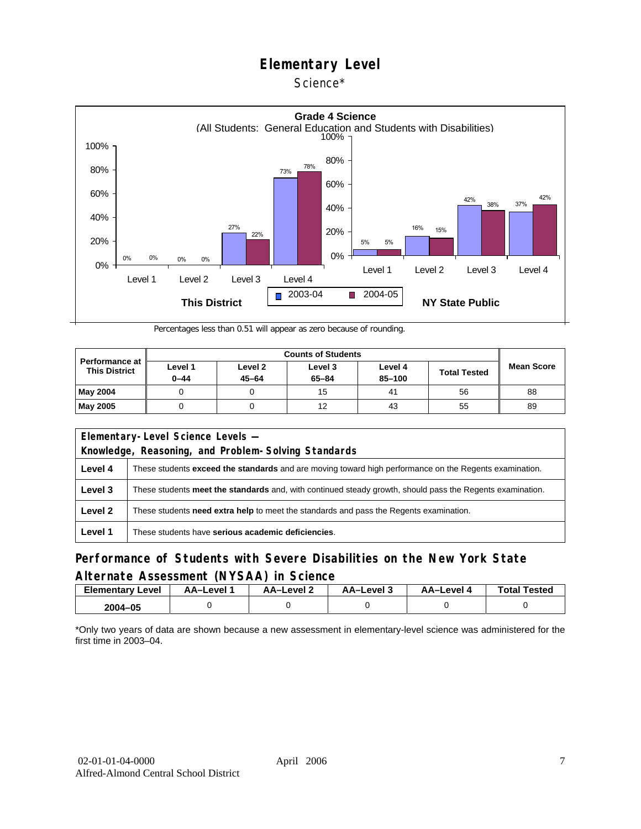### Science\*



Percentages less than 0.51 will appear as zero because of rounding.

| <b>Performance at</b><br><b>This District</b> | Level 1<br>$0 - 44$ | Level 2<br>$45 - 64$ | Level 3<br>$65 - 84$ | Level 4<br>85-100 | <b>Total Tested</b> | <b>Mean Score</b> |
|-----------------------------------------------|---------------------|----------------------|----------------------|-------------------|---------------------|-------------------|
| May 2004                                      |                     |                      | 15                   | 4 <sup>1</sup>    | 56                  | 88                |
| <b>May 2005</b>                               |                     |                      | 12                   | 43                | 55                  | 89                |

| Elementary-Level Science Levels -                   |                                                                                                               |  |  |  |  |
|-----------------------------------------------------|---------------------------------------------------------------------------------------------------------------|--|--|--|--|
| Knowledge, Reasoning, and Problem-Solving Standards |                                                                                                               |  |  |  |  |
| Level 4                                             | These students <b>exceed the standards</b> and are moving toward high performance on the Regents examination. |  |  |  |  |
| Level 3                                             | These students meet the standards and, with continued steady growth, should pass the Regents examination.     |  |  |  |  |
| Level 2                                             | These students <b>need extra help</b> to meet the standards and pass the Regents examination.                 |  |  |  |  |
| Level 1                                             | These students have serious academic deficiencies.                                                            |  |  |  |  |

### **Performance of Students with Severe Disabilities on the New York State Alternate Assessment (NYSAA) in Science**

| <b>Elementary Level</b> | <b>AA-Level</b> 1 | – AA–Level | ة AA–Level | AA–Level 4 | <b>Total Tested</b> |
|-------------------------|-------------------|------------|------------|------------|---------------------|
| 2004-05                 |                   |            |            |            |                     |

\*Only two years of data are shown because a new assessment in elementary-level science was administered for the first time in 2003–04.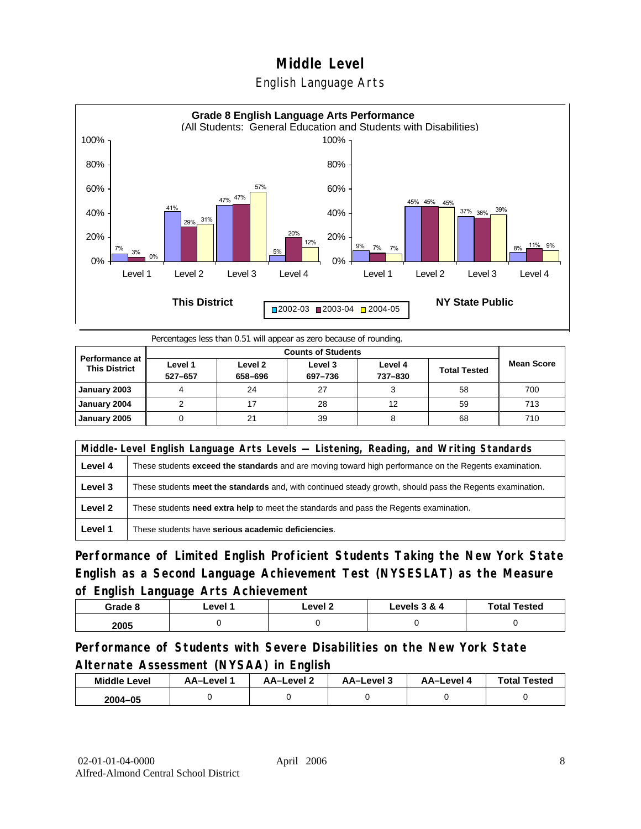



Percentages less than 0.51 will appear as zero because of rounding.

| <b>Performance at</b><br><b>This District</b> | Level 1<br>527-657 | Level 2<br>658-696 | Level 3<br>697-736 | Level 4<br>737-830 | <b>Total Tested</b> | <b>Mean Score</b> |
|-----------------------------------------------|--------------------|--------------------|--------------------|--------------------|---------------------|-------------------|
| January 2003                                  |                    | 24                 | 27                 |                    | 58                  | 700               |
| January 2004                                  |                    |                    | 28                 | 12                 | 59                  | 713               |
| January 2005                                  |                    | 21                 | 39                 |                    | 68                  | 710               |

|         | Middle-Level English Language Arts Levels — Listening, Reading, and Writing Standards                     |  |  |  |  |
|---------|-----------------------------------------------------------------------------------------------------------|--|--|--|--|
| Level 4 | These students exceed the standards and are moving toward high performance on the Regents examination.    |  |  |  |  |
| Level 3 | These students meet the standards and, with continued steady growth, should pass the Regents examination. |  |  |  |  |
| Level 2 | These students <b>need extra help</b> to meet the standards and pass the Regents examination.             |  |  |  |  |
| Level 1 | These students have serious academic deficiencies.                                                        |  |  |  |  |

**Performance of Limited English Proficient Students Taking the New York State English as a Second Language Achievement Test (NYSESLAT) as the Measure of English Language Arts Achievement**

| Grade 8 | ∟evel 1 | ∟evel 2 | Levels 3 & 4 | <b>Total Tested</b> |
|---------|---------|---------|--------------|---------------------|
| 2005    |         |         |              |                     |

**Performance of Students with Severe Disabilities on the New York State Alternate Assessment (NYSAA) in English** 

| <b>Middle Level</b> | AA–Level | <b>AA-Level 2</b> | AA-Level 3 | AA-Level 4 | <b>Total Tested</b> |
|---------------------|----------|-------------------|------------|------------|---------------------|
| $2004 - 05$         |          |                   |            |            |                     |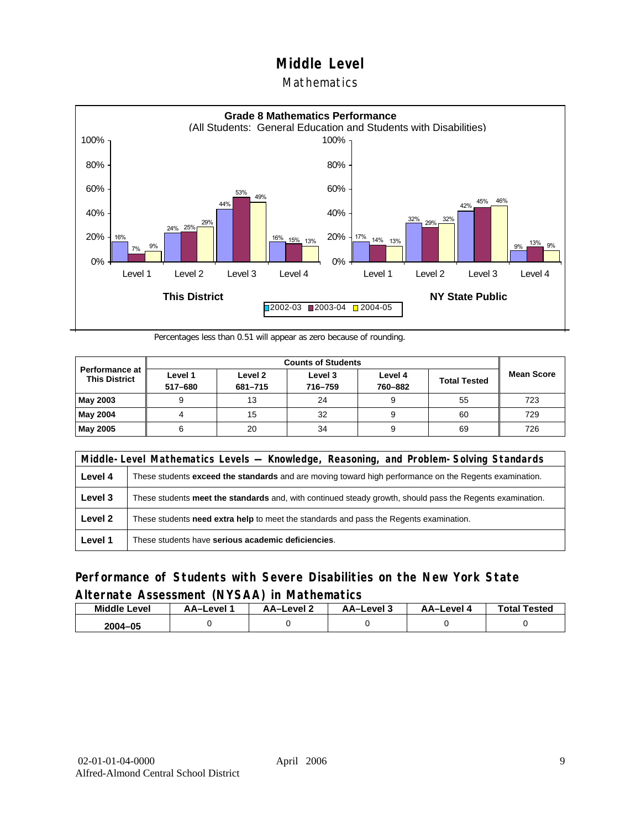### **Mathematics**



Percentages less than 0.51 will appear as zero because of rounding.

| Performance at<br><b>This District</b> | Level 1<br>517-680 | Level 2<br>681-715 | Level 3<br>716-759 | Level 4<br>760-882 | <b>Total Tested</b> | <b>Mean Score</b> |
|----------------------------------------|--------------------|--------------------|--------------------|--------------------|---------------------|-------------------|
| May 2003                               |                    | 13                 | 24                 |                    | 55                  | 723               |
| May 2004                               |                    | 15                 | 32                 |                    | 60                  | 729               |
| May 2005                               |                    | 20                 | 34                 |                    | 69                  | 726               |

|         | Middle-Level Mathematics Levels — Knowledge, Reasoning, and Problem-Solving Standards                         |  |  |  |  |
|---------|---------------------------------------------------------------------------------------------------------------|--|--|--|--|
| Level 4 | These students <b>exceed the standards</b> and are moving toward high performance on the Regents examination. |  |  |  |  |
| Level 3 | These students meet the standards and, with continued steady growth, should pass the Regents examination.     |  |  |  |  |
| Level 2 | These students need extra help to meet the standards and pass the Regents examination.                        |  |  |  |  |
| Level 1 | These students have serious academic deficiencies.                                                            |  |  |  |  |

### **Performance of Students with Severe Disabilities on the New York State Alternate Assessment (NYSAA) in Mathematics**

| <b>Middle Level</b> | AA–Level | AA-Level 2 | AA-Level 3 | AA-Level 4 | <b>Total Tested</b> |
|---------------------|----------|------------|------------|------------|---------------------|
| 2004-05             |          |            |            |            |                     |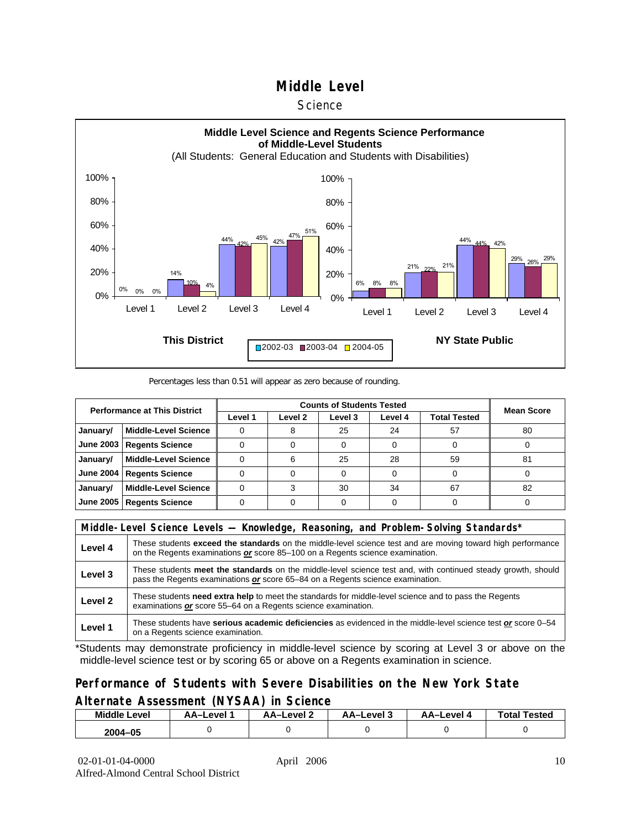#### **Science**



#### Percentages less than 0.51 will appear as zero because of rounding.

| <b>Performance at This District</b> |                             |         | <b>Mean Score</b> |         |         |                     |    |
|-------------------------------------|-----------------------------|---------|-------------------|---------|---------|---------------------|----|
|                                     |                             | Level 1 | Level 2           | Level 3 | Level 4 | <b>Total Tested</b> |    |
| January/                            | <b>Middle-Level Science</b> |         |                   | 25      | 24      | 57                  | 80 |
| June 2003                           | <b>Regents Science</b>      |         |                   |         |         |                     |    |
| January/                            | <b>Middle-Level Science</b> |         |                   | 25      | 28      | 59                  | 81 |
| <b>June 2004</b>                    | <b>Regents Science</b>      |         |                   |         |         |                     |    |
| January/                            | <b>Middle-Level Science</b> |         |                   | 30      | 34      | 67                  | 82 |
| June 2005                           | <b>Regents Science</b>      |         |                   |         |         |                     |    |

|         | Middle-Level Science Levels — Knowledge, Reasoning, and Problem-Solving Standards*                                                                                                             |  |  |  |  |
|---------|------------------------------------------------------------------------------------------------------------------------------------------------------------------------------------------------|--|--|--|--|
| Level 4 | These students exceed the standards on the middle-level science test and are moving toward high performance<br>on the Regents examinations or score 85-100 on a Regents science examination.   |  |  |  |  |
| Level 3 | These students meet the standards on the middle-level science test and, with continued steady growth, should<br>pass the Regents examinations or score 65–84 on a Regents science examination. |  |  |  |  |
| Level 2 | These students need extra help to meet the standards for middle-level science and to pass the Regents<br>examinations or score 55-64 on a Regents science examination.                         |  |  |  |  |
| Level 1 | These students have serious academic deficiencies as evidenced in the middle-level science test or score 0–54<br>on a Regents science examination.                                             |  |  |  |  |

\*Students may demonstrate proficiency in middle-level science by scoring at Level 3 or above on the middle-level science test or by scoring 65 or above on a Regents examination in science.

### **Performance of Students with Severe Disabilities on the New York State Alternate Assessment (NYSAA) in Science**

| Middle L<br>_evel | AA–Level | AA-Level 2 | AA-Level 3 | AA–Level | <b>Tested</b><br>Total. |
|-------------------|----------|------------|------------|----------|-------------------------|
| 2004-05           |          |            |            |          |                         |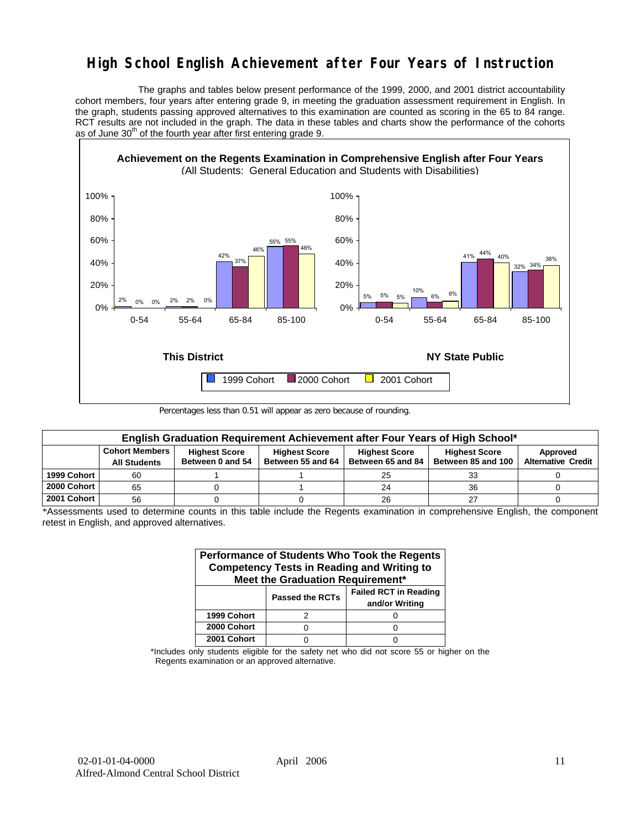# **High School English Achievement after Four Years of Instruction**

 The graphs and tables below present performance of the 1999, 2000, and 2001 district accountability cohort members, four years after entering grade 9, in meeting the graduation assessment requirement in English. In the graph, students passing approved alternatives to this examination are counted as scoring in the 65 to 84 range. RCT results are not included in the graph. The data in these tables and charts show the performance of the cohorts as of June  $30<sup>th</sup>$  of the fourth year after first entering grade 9.



Percentages less than 0.51 will appear as zero because of rounding.

|             | English Graduation Requirement Achievement after Four Years of High School* |                      |                      |                      |                      |                           |  |  |  |  |  |  |
|-------------|-----------------------------------------------------------------------------|----------------------|----------------------|----------------------|----------------------|---------------------------|--|--|--|--|--|--|
|             | <b>Cohort Members</b>                                                       | <b>Highest Score</b> | <b>Highest Score</b> | <b>Highest Score</b> | <b>Highest Score</b> | Approved                  |  |  |  |  |  |  |
|             | <b>All Students</b>                                                         | Between 0 and 54     | Between 55 and 64    | Between 65 and 84    | Between 85 and 100   | <b>Alternative Credit</b> |  |  |  |  |  |  |
| 1999 Cohort | 60                                                                          |                      |                      | 25                   | 33                   |                           |  |  |  |  |  |  |
| 2000 Cohort | 65                                                                          |                      |                      | 24                   | 36                   |                           |  |  |  |  |  |  |
| 2001 Cohort | 56                                                                          |                      |                      | 26                   |                      |                           |  |  |  |  |  |  |

\*Assessments used to determine counts in this table include the Regents examination in comprehensive English, the component retest in English, and approved alternatives.

| Performance of Students Who Took the Regents<br><b>Competency Tests in Reading and Writing to</b><br>Meet the Graduation Requirement* |                        |                                                |  |  |  |  |  |  |  |
|---------------------------------------------------------------------------------------------------------------------------------------|------------------------|------------------------------------------------|--|--|--|--|--|--|--|
|                                                                                                                                       | <b>Passed the RCTs</b> | <b>Failed RCT in Reading</b><br>and/or Writing |  |  |  |  |  |  |  |
| 1999 Cohort                                                                                                                           |                        |                                                |  |  |  |  |  |  |  |
| 2000 Cohort                                                                                                                           |                        |                                                |  |  |  |  |  |  |  |
| 2001 Cohort                                                                                                                           |                        |                                                |  |  |  |  |  |  |  |

\*Includes only students eligible for the safety net who did not score 55 or higher on the Regents examination or an approved alternative.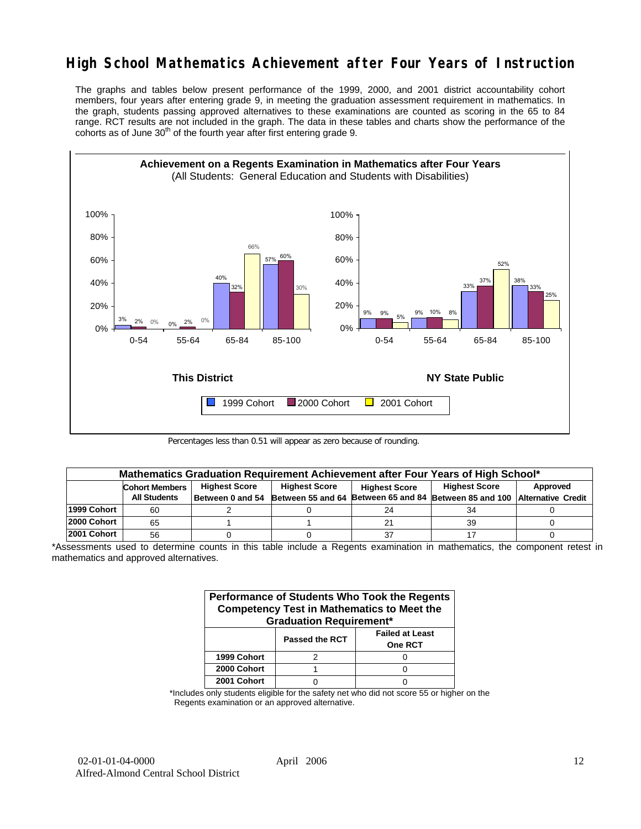# **High School Mathematics Achievement after Four Years of Instruction**

The graphs and tables below present performance of the 1999, 2000, and 2001 district accountability cohort members, four years after entering grade 9, in meeting the graduation assessment requirement in mathematics. In the graph, students passing approved alternatives to these examinations are counted as scoring in the 65 to 84 range. RCT results are not included in the graph. The data in these tables and charts show the performance of the cohorts as of June  $30<sup>th</sup>$  of the fourth year after first entering grade 9.



Percentages less than 0.51 will appear as zero because of rounding.

|             | Mathematics Graduation Requirement Achievement after Four Years of High School* |                      |                      |                      |                                                                                            |          |  |  |  |  |  |
|-------------|---------------------------------------------------------------------------------|----------------------|----------------------|----------------------|--------------------------------------------------------------------------------------------|----------|--|--|--|--|--|
|             | <b>Cohort Members</b>                                                           | <b>Highest Score</b> | <b>Highest Score</b> | <b>Highest Score</b> | <b>Highest Score</b>                                                                       | Approved |  |  |  |  |  |
|             | <b>All Students</b>                                                             |                      |                      |                      | Between 0 and 54 Between 55 and 64 Between 65 and 84 Between 85 and 100 Alternative Credit |          |  |  |  |  |  |
| 1999 Cohort | 60                                                                              |                      |                      | 24                   | 34                                                                                         |          |  |  |  |  |  |
| 2000 Cohort | 65                                                                              |                      |                      | 21                   | 39                                                                                         |          |  |  |  |  |  |
| 2001 Cohort | 56                                                                              |                      |                      | 37                   |                                                                                            |          |  |  |  |  |  |

\*Assessments used to determine counts in this table include a Regents examination in mathematics, the component retest in mathematics and approved alternatives.

| Performance of Students Who Took the Regents<br><b>Competency Test in Mathematics to Meet the</b><br><b>Graduation Requirement*</b> |                       |                                          |  |  |  |  |  |  |
|-------------------------------------------------------------------------------------------------------------------------------------|-----------------------|------------------------------------------|--|--|--|--|--|--|
|                                                                                                                                     | <b>Passed the RCT</b> | <b>Failed at Least</b><br><b>One RCT</b> |  |  |  |  |  |  |
| 1999 Cohort                                                                                                                         |                       |                                          |  |  |  |  |  |  |
| 2000 Cohort                                                                                                                         |                       |                                          |  |  |  |  |  |  |
| 2001 Cohort                                                                                                                         |                       |                                          |  |  |  |  |  |  |

\*Includes only students eligible for the safety net who did not score 55 or higher on the Regents examination or an approved alternative.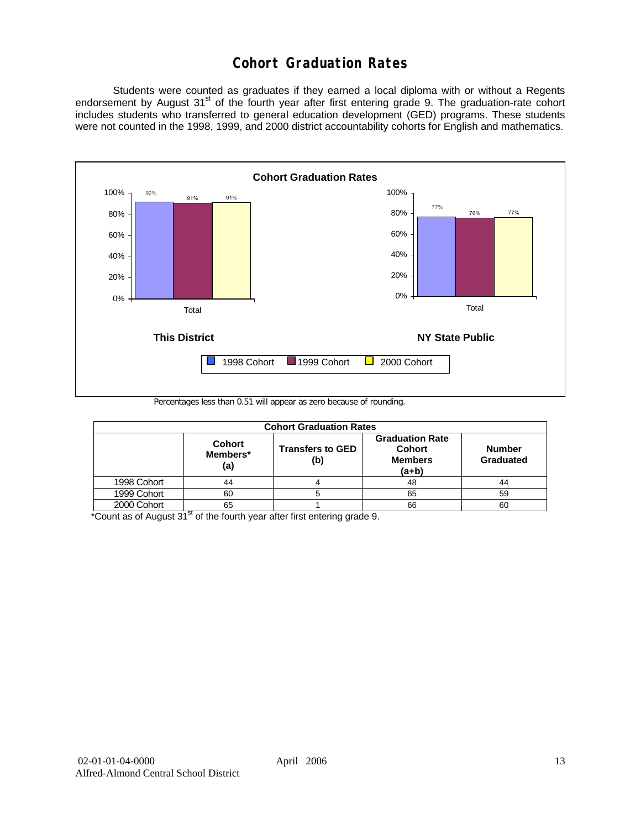# **Cohort Graduation Rates**

 Students were counted as graduates if they earned a local diploma with or without a Regents endorsement by August 31<sup>st</sup> of the fourth year after first entering grade 9. The graduation-rate cohort includes students who transferred to general education development (GED) programs. These students were not counted in the 1998, 1999, and 2000 district accountability cohorts for English and mathematics.



Percentages less than 0.51 will appear as zero because of rounding.

| <b>Cohort Graduation Rates</b> |                                  |                                |                                                                      |                            |  |  |  |  |  |  |
|--------------------------------|----------------------------------|--------------------------------|----------------------------------------------------------------------|----------------------------|--|--|--|--|--|--|
|                                | <b>Cohort</b><br>Members*<br>(a) | <b>Transfers to GED</b><br>(b) | <b>Graduation Rate</b><br><b>Cohort</b><br><b>Members</b><br>$(a+b)$ | <b>Number</b><br>Graduated |  |  |  |  |  |  |
| 1998 Cohort                    | 44                               |                                | 48                                                                   | 44                         |  |  |  |  |  |  |
| 1999 Cohort                    | 60                               |                                | 65                                                                   | 59                         |  |  |  |  |  |  |
| 2000 Cohort                    | 65                               |                                | 66                                                                   | 60                         |  |  |  |  |  |  |

 $*$ Count as of August 31 $*$  of the fourth year after first entering grade 9.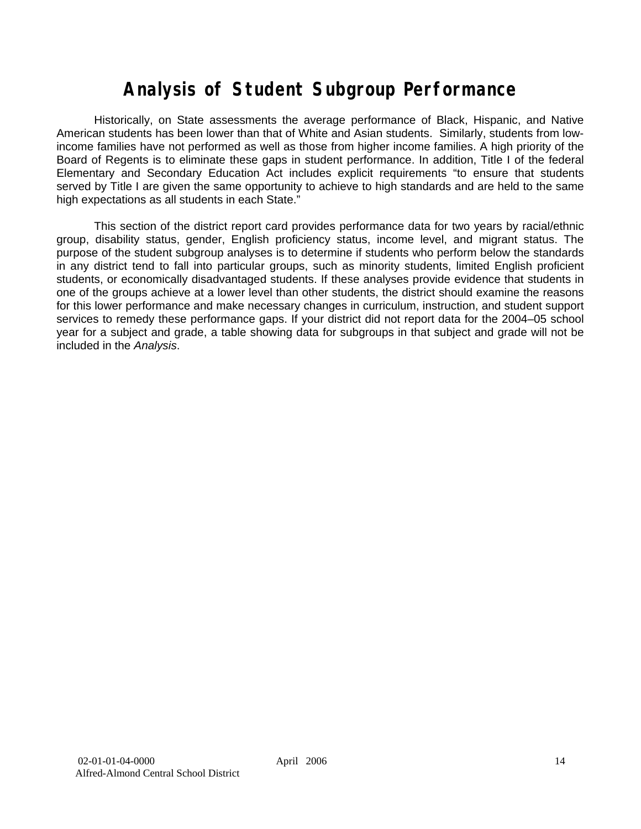# **Analysis of Student Subgroup Performance**

Historically, on State assessments the average performance of Black, Hispanic, and Native American students has been lower than that of White and Asian students. Similarly, students from lowincome families have not performed as well as those from higher income families. A high priority of the Board of Regents is to eliminate these gaps in student performance. In addition, Title I of the federal Elementary and Secondary Education Act includes explicit requirements "to ensure that students served by Title I are given the same opportunity to achieve to high standards and are held to the same high expectations as all students in each State."

This section of the district report card provides performance data for two years by racial/ethnic group, disability status, gender, English proficiency status, income level, and migrant status. The purpose of the student subgroup analyses is to determine if students who perform below the standards in any district tend to fall into particular groups, such as minority students, limited English proficient students, or economically disadvantaged students. If these analyses provide evidence that students in one of the groups achieve at a lower level than other students, the district should examine the reasons for this lower performance and make necessary changes in curriculum, instruction, and student support services to remedy these performance gaps. If your district did not report data for the 2004–05 school year for a subject and grade, a table showing data for subgroups in that subject and grade will not be included in the *Analysis*.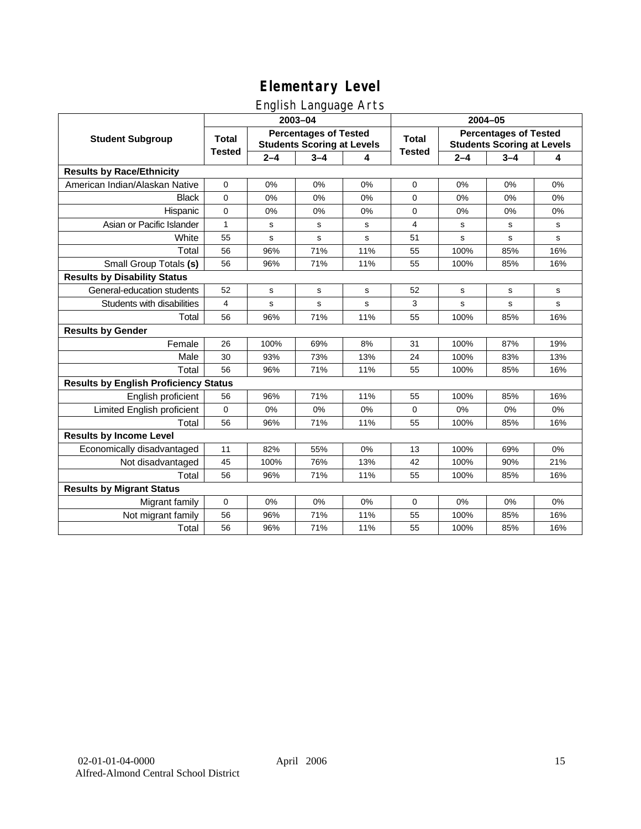# English Language Arts

|                                              |               |         | ັ<br>2003-04                                                      |     | 2004-05       |             |                                                                   |           |
|----------------------------------------------|---------------|---------|-------------------------------------------------------------------|-----|---------------|-------------|-------------------------------------------------------------------|-----------|
| <b>Student Subgroup</b>                      | <b>Total</b>  |         | <b>Percentages of Tested</b><br><b>Students Scoring at Levels</b> |     | <b>Total</b>  |             | <b>Percentages of Tested</b><br><b>Students Scoring at Levels</b> |           |
|                                              | <b>Tested</b> | $2 - 4$ | $3 - 4$                                                           | 4   | <b>Tested</b> | $2 - 4$     | $3 - 4$                                                           | 4         |
| <b>Results by Race/Ethnicity</b>             |               |         |                                                                   |     |               |             |                                                                   |           |
| American Indian/Alaskan Native               | 0             | 0%      | 0%                                                                | 0%  | $\mathbf 0$   | 0%          | 0%                                                                | 0%        |
| <b>Black</b>                                 | $\mathbf 0$   | 0%      | 0%                                                                | 0%  | 0             | 0%          | 0%                                                                | 0%        |
| Hispanic                                     | 0             | 0%      | 0%                                                                | 0%  | 0             | 0%          | 0%                                                                | 0%        |
| Asian or Pacific Islander                    | 1             | s       | s                                                                 | s   | 4             | s           | s                                                                 | s         |
| White                                        | 55            | s       | s                                                                 | s   | 51            | s           | s                                                                 | ${\tt s}$ |
| Total                                        | 56            | 96%     | 71%                                                               | 11% | 55            | 100%        | 85%                                                               | 16%       |
| Small Group Totals (s)                       | 56            | 96%     | 71%                                                               | 11% | 55            | 100%        | 85%                                                               | 16%       |
| <b>Results by Disability Status</b>          |               |         |                                                                   |     |               |             |                                                                   |           |
| General-education students                   | 52            | s       | s                                                                 | s   | 52            | s           | s                                                                 | s         |
| Students with disabilities                   | 4             | s       | s                                                                 | s   | 3             | $\mathbf s$ | $\mathbf s$                                                       | s         |
| Total                                        | 56            | 96%     | 71%                                                               | 11% | 55            | 100%        | 85%                                                               | 16%       |
| <b>Results by Gender</b>                     |               |         |                                                                   |     |               |             |                                                                   |           |
| Female                                       | 26            | 100%    | 69%                                                               | 8%  | 31            | 100%        | 87%                                                               | 19%       |
| Male                                         | 30            | 93%     | 73%                                                               | 13% | 24            | 100%        | 83%                                                               | 13%       |
| Total                                        | 56            | 96%     | 71%                                                               | 11% | 55            | 100%        | 85%                                                               | 16%       |
| <b>Results by English Proficiency Status</b> |               |         |                                                                   |     |               |             |                                                                   |           |
| English proficient                           | 56            | 96%     | 71%                                                               | 11% | 55            | 100%        | 85%                                                               | 16%       |
| Limited English proficient                   | 0             | 0%      | 0%                                                                | 0%  | 0             | 0%          | 0%                                                                | 0%        |
| Total                                        | 56            | 96%     | 71%                                                               | 11% | 55            | 100%        | 85%                                                               | 16%       |
| <b>Results by Income Level</b>               |               |         |                                                                   |     |               |             |                                                                   |           |
| Economically disadvantaged                   | 11            | 82%     | 55%                                                               | 0%  | 13            | 100%        | 69%                                                               | 0%        |
| Not disadvantaged                            | 45            | 100%    | 76%                                                               | 13% | 42            | 100%        | 90%                                                               | 21%       |
| Total                                        | 56            | 96%     | 71%                                                               | 11% | 55            | 100%        | 85%                                                               | 16%       |
| <b>Results by Migrant Status</b>             |               |         |                                                                   |     |               |             |                                                                   |           |
| Migrant family                               | $\mathbf 0$   | 0%      | 0%                                                                | 0%  | $\mathbf 0$   | 0%          | 0%                                                                | 0%        |
| Not migrant family                           | 56            | 96%     | 71%                                                               | 11% | 55            | 100%        | 85%                                                               | 16%       |
| Total                                        | 56            | 96%     | 71%                                                               | 11% | 55            | 100%        | 85%                                                               | 16%       |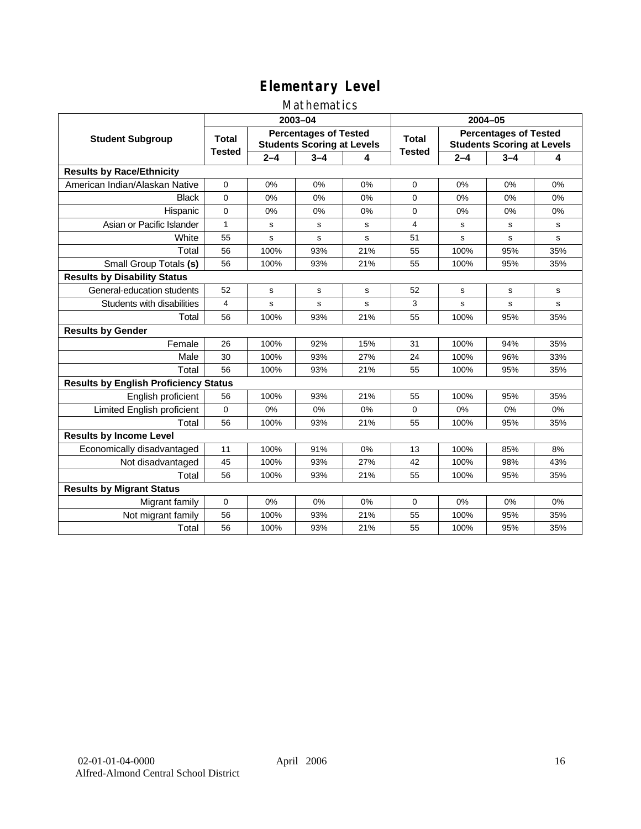### Mathematics

|                                              |               |         | 2003-04                                                           |     | 2004-05        |             |                                                                   |             |
|----------------------------------------------|---------------|---------|-------------------------------------------------------------------|-----|----------------|-------------|-------------------------------------------------------------------|-------------|
| <b>Student Subgroup</b>                      | <b>Total</b>  |         | <b>Percentages of Tested</b><br><b>Students Scoring at Levels</b> |     | Total          |             | <b>Percentages of Tested</b><br><b>Students Scoring at Levels</b> |             |
|                                              | <b>Tested</b> | $2 - 4$ | $3 - 4$                                                           | 4   | <b>Tested</b>  | $2 - 4$     | $3 - 4$                                                           | 4           |
| <b>Results by Race/Ethnicity</b>             |               |         |                                                                   |     |                |             |                                                                   |             |
| American Indian/Alaskan Native               | $\mathbf 0$   | 0%      | 0%                                                                | 0%  | 0              | 0%          | 0%                                                                | 0%          |
| <b>Black</b>                                 | $\Omega$      | 0%      | 0%                                                                | 0%  | $\Omega$       | 0%          | 0%                                                                | 0%          |
| Hispanic                                     | $\mathbf 0$   | 0%      | 0%                                                                | 0%  | 0              | 0%          | 0%                                                                | 0%          |
| Asian or Pacific Islander                    | 1             | s       | s                                                                 | s   | $\overline{4}$ | s           | s                                                                 | s           |
| White                                        | 55            | s       | $\mathbf s$                                                       | s   | 51             | $\mathbf s$ | s                                                                 | $\mathbf s$ |
| Total                                        | 56            | 100%    | 93%                                                               | 21% | 55             | 100%        | 95%                                                               | 35%         |
| Small Group Totals (s)                       | 56            | 100%    | 93%                                                               | 21% | 55             | 100%        | 95%                                                               | 35%         |
| <b>Results by Disability Status</b>          |               |         |                                                                   |     |                |             |                                                                   |             |
| General-education students                   | 52            | s       | s                                                                 | s   | 52             | s           | s                                                                 | s           |
| Students with disabilities                   | 4             | s       | s                                                                 | s   | 3              | $\mathbf s$ | s                                                                 | $\mathbf s$ |
| Total                                        | 56            | 100%    | 93%                                                               | 21% | 55             | 100%        | 95%                                                               | 35%         |
| <b>Results by Gender</b>                     |               |         |                                                                   |     |                |             |                                                                   |             |
| Female                                       | 26            | 100%    | 92%                                                               | 15% | 31             | 100%        | 94%                                                               | 35%         |
| Male                                         | 30            | 100%    | 93%                                                               | 27% | 24             | 100%        | 96%                                                               | 33%         |
| Total                                        | 56            | 100%    | 93%                                                               | 21% | 55             | 100%        | 95%                                                               | 35%         |
| <b>Results by English Proficiency Status</b> |               |         |                                                                   |     |                |             |                                                                   |             |
| English proficient                           | 56            | 100%    | 93%                                                               | 21% | 55             | 100%        | 95%                                                               | 35%         |
| Limited English proficient                   | $\mathbf 0$   | 0%      | 0%                                                                | 0%  | $\Omega$       | 0%          | 0%                                                                | 0%          |
| Total                                        | 56            | 100%    | 93%                                                               | 21% | 55             | 100%        | 95%                                                               | 35%         |
| <b>Results by Income Level</b>               |               |         |                                                                   |     |                |             |                                                                   |             |
| Economically disadvantaged                   | 11            | 100%    | 91%                                                               | 0%  | 13             | 100%        | 85%                                                               | 8%          |
| Not disadvantaged                            | 45            | 100%    | 93%                                                               | 27% | 42             | 100%        | 98%                                                               | 43%         |
| Total                                        | 56            | 100%    | 93%                                                               | 21% | 55             | 100%        | 95%                                                               | 35%         |
| <b>Results by Migrant Status</b>             |               |         |                                                                   |     |                |             |                                                                   |             |
| Migrant family                               | 0             | 0%      | 0%                                                                | 0%  | 0              | 0%          | 0%                                                                | 0%          |
| Not migrant family                           | 56            | 100%    | 93%                                                               | 21% | 55             | 100%        | 95%                                                               | 35%         |
| Total                                        | 56            | 100%    | 93%                                                               | 21% | 55             | 100%        | 95%                                                               | 35%         |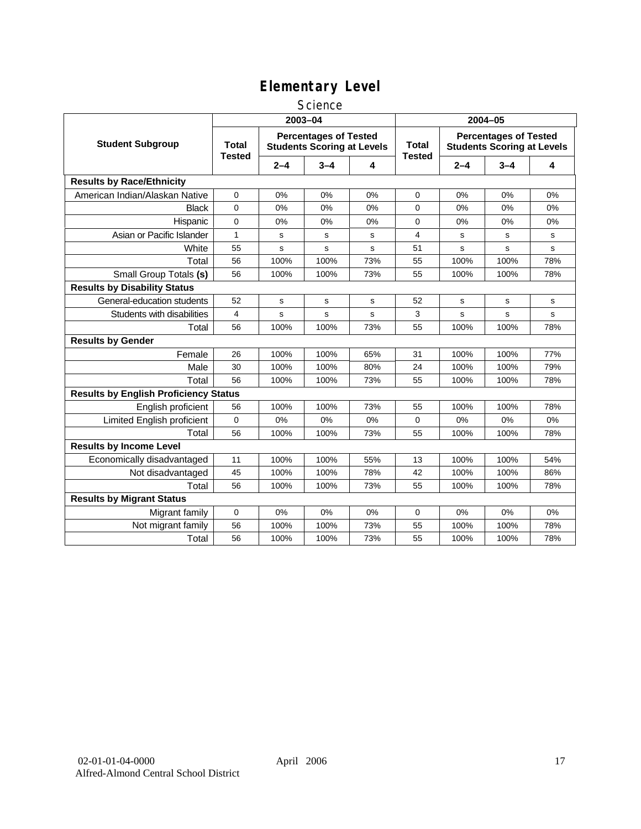### **Science**

|                                              | 2003-04                       |         |                                                                   |     | 2004-05                       |         |                                                                   |             |
|----------------------------------------------|-------------------------------|---------|-------------------------------------------------------------------|-----|-------------------------------|---------|-------------------------------------------------------------------|-------------|
| <b>Student Subgroup</b>                      | <b>Total</b><br><b>Tested</b> |         | <b>Percentages of Tested</b><br><b>Students Scoring at Levels</b> |     | <b>Total</b><br><b>Tested</b> |         | <b>Percentages of Tested</b><br><b>Students Scoring at Levels</b> |             |
|                                              |                               | $2 - 4$ | $3 - 4$                                                           | 4   |                               | $2 - 4$ | $3 - 4$                                                           | 4           |
| <b>Results by Race/Ethnicity</b>             |                               |         |                                                                   |     |                               |         |                                                                   |             |
| American Indian/Alaskan Native               | 0                             | 0%      | 0%                                                                | 0%  | 0                             | 0%      | 0%                                                                | 0%          |
| <b>Black</b>                                 | $\overline{0}$                | 0%      | $0\%$                                                             | 0%  | $\mathbf 0$                   | 0%      | 0%                                                                | 0%          |
| Hispanic                                     | 0                             | 0%      | 0%                                                                | 0%  | 0                             | 0%      | 0%                                                                | 0%          |
| Asian or Pacific Islander                    | 1                             | s       | s                                                                 | s   | 4                             | s       | s                                                                 | s           |
| White                                        | 55                            | s       | s                                                                 | s   | 51                            | s       | s                                                                 | s           |
| Total                                        | 56                            | 100%    | 100%                                                              | 73% | 55                            | 100%    | 100%                                                              | 78%         |
| Small Group Totals (s)                       | 56                            | 100%    | 100%                                                              | 73% | 55                            | 100%    | 100%                                                              | 78%         |
| <b>Results by Disability Status</b>          |                               |         |                                                                   |     |                               |         |                                                                   |             |
| General-education students                   | 52                            | s       | $\mathbf s$                                                       | s   | 52                            | s       | $\mathbf s$                                                       | $\mathbf s$ |
| Students with disabilities                   | 4                             | s       | $\mathbf s$                                                       | s   | 3                             | s       | s                                                                 | s           |
| Total                                        | 56                            | 100%    | 100%                                                              | 73% | 55                            | 100%    | 100%                                                              | 78%         |
| <b>Results by Gender</b>                     |                               |         |                                                                   |     |                               |         |                                                                   |             |
| Female                                       | 26                            | 100%    | 100%                                                              | 65% | 31                            | 100%    | 100%                                                              | 77%         |
| Male                                         | 30                            | 100%    | 100%                                                              | 80% | 24                            | 100%    | 100%                                                              | 79%         |
| Total                                        | 56                            | 100%    | 100%                                                              | 73% | 55                            | 100%    | 100%                                                              | 78%         |
| <b>Results by English Proficiency Status</b> |                               |         |                                                                   |     |                               |         |                                                                   |             |
| English proficient                           | 56                            | 100%    | 100%                                                              | 73% | 55                            | 100%    | 100%                                                              | 78%         |
| Limited English proficient                   | 0                             | 0%      | 0%                                                                | 0%  | 0                             | 0%      | 0%                                                                | 0%          |
| Total                                        | 56                            | 100%    | 100%                                                              | 73% | 55                            | 100%    | 100%                                                              | 78%         |
| <b>Results by Income Level</b>               |                               |         |                                                                   |     |                               |         |                                                                   |             |
| Economically disadvantaged                   | 11                            | 100%    | 100%                                                              | 55% | 13                            | 100%    | 100%                                                              | 54%         |
| Not disadvantaged                            | 45                            | 100%    | 100%                                                              | 78% | 42                            | 100%    | 100%                                                              | 86%         |
| Total                                        | 56                            | 100%    | 100%                                                              | 73% | 55                            | 100%    | 100%                                                              | 78%         |
| <b>Results by Migrant Status</b>             |                               |         |                                                                   |     |                               |         |                                                                   |             |
| Migrant family                               | 0                             | 0%      | 0%                                                                | 0%  | 0                             | 0%      | 0%                                                                | 0%          |
| Not migrant family                           | 56                            | 100%    | 100%                                                              | 73% | 55                            | 100%    | 100%                                                              | 78%         |
| Total                                        | 56                            | 100%    | 100%                                                              | 73% | 55                            | 100%    | 100%                                                              | 78%         |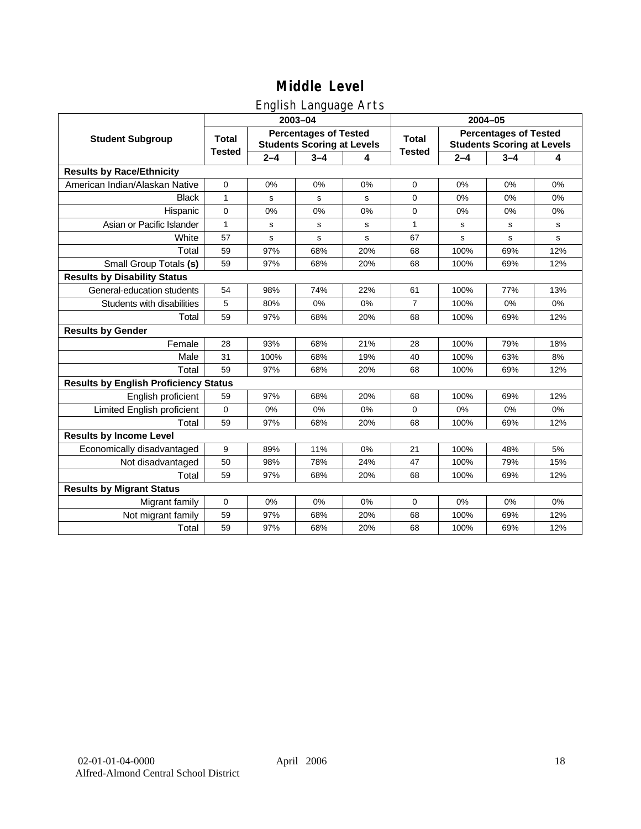# English Language Arts

|                                              |               |         | ັ<br>2003-04                                                      |     | 2004-05        |             |                                                                   |             |
|----------------------------------------------|---------------|---------|-------------------------------------------------------------------|-----|----------------|-------------|-------------------------------------------------------------------|-------------|
| <b>Student Subgroup</b>                      | <b>Total</b>  |         | <b>Percentages of Tested</b><br><b>Students Scoring at Levels</b> |     | <b>Total</b>   |             | <b>Percentages of Tested</b><br><b>Students Scoring at Levels</b> |             |
|                                              | <b>Tested</b> | $2 - 4$ | $3 - 4$                                                           | 4   | <b>Tested</b>  | $2 - 4$     | $3 - 4$                                                           | 4           |
| <b>Results by Race/Ethnicity</b>             |               |         |                                                                   |     |                |             |                                                                   |             |
| American Indian/Alaskan Native               | $\mathbf 0$   | 0%      | 0%                                                                | 0%  | $\mathbf 0$    | 0%          | 0%                                                                | 0%          |
| <b>Black</b>                                 | 1             | s       | s                                                                 | s   | $\Omega$       | 0%          | 0%                                                                | 0%          |
| Hispanic                                     | 0             | 0%      | 0%                                                                | 0%  | 0              | 0%          | 0%                                                                | 0%          |
| Asian or Pacific Islander                    | 1             | s       | s                                                                 | s   | 1              | s           | s                                                                 | s           |
| White                                        | 57            | s       | $\mathbf s$                                                       | s   | 67             | $\mathbf s$ | s                                                                 | $\mathbf s$ |
| Total                                        | 59            | 97%     | 68%                                                               | 20% | 68             | 100%        | 69%                                                               | 12%         |
| Small Group Totals (s)                       | 59            | 97%     | 68%                                                               | 20% | 68             | 100%        | 69%                                                               | 12%         |
| <b>Results by Disability Status</b>          |               |         |                                                                   |     |                |             |                                                                   |             |
| General-education students                   | 54            | 98%     | 74%                                                               | 22% | 61             | 100%        | 77%                                                               | 13%         |
| Students with disabilities                   | 5             | 80%     | 0%                                                                | 0%  | $\overline{7}$ | 100%        | 0%                                                                | 0%          |
| Total                                        | 59            | 97%     | 68%                                                               | 20% | 68             | 100%        | 69%                                                               | 12%         |
| <b>Results by Gender</b>                     |               |         |                                                                   |     |                |             |                                                                   |             |
| Female                                       | 28            | 93%     | 68%                                                               | 21% | 28             | 100%        | 79%                                                               | 18%         |
| Male                                         | 31            | 100%    | 68%                                                               | 19% | 40             | 100%        | 63%                                                               | 8%          |
| Total                                        | 59            | 97%     | 68%                                                               | 20% | 68             | 100%        | 69%                                                               | 12%         |
| <b>Results by English Proficiency Status</b> |               |         |                                                                   |     |                |             |                                                                   |             |
| English proficient                           | 59            | 97%     | 68%                                                               | 20% | 68             | 100%        | 69%                                                               | 12%         |
| Limited English proficient                   | 0             | 0%      | 0%                                                                | 0%  | $\mathbf 0$    | 0%          | 0%                                                                | 0%          |
| Total                                        | 59            | 97%     | 68%                                                               | 20% | 68             | 100%        | 69%                                                               | 12%         |
| <b>Results by Income Level</b>               |               |         |                                                                   |     |                |             |                                                                   |             |
| Economically disadvantaged                   | 9             | 89%     | 11%                                                               | 0%  | 21             | 100%        | 48%                                                               | 5%          |
| Not disadvantaged                            | 50            | 98%     | 78%                                                               | 24% | 47             | 100%        | 79%                                                               | 15%         |
| Total                                        | 59            | 97%     | 68%                                                               | 20% | 68             | 100%        | 69%                                                               | 12%         |
| <b>Results by Migrant Status</b>             |               |         |                                                                   |     |                |             |                                                                   |             |
| Migrant family                               | 0             | 0%      | 0%                                                                | 0%  | 0              | 0%          | 0%                                                                | 0%          |
| Not migrant family                           | 59            | 97%     | 68%                                                               | 20% | 68             | 100%        | 69%                                                               | 12%         |
| Total                                        | 59            | 97%     | 68%                                                               | 20% | 68             | 100%        | 69%                                                               | 12%         |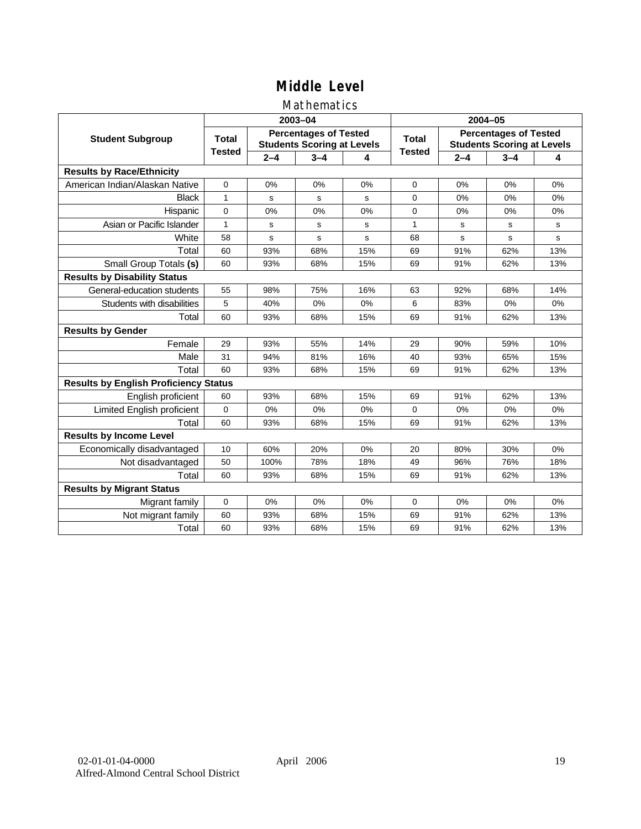### Mathematics

|                                              |               |         | 2003-04                                                           |     | 2004-05       |         |                                                                   |             |
|----------------------------------------------|---------------|---------|-------------------------------------------------------------------|-----|---------------|---------|-------------------------------------------------------------------|-------------|
| <b>Student Subgroup</b>                      | <b>Total</b>  |         | <b>Percentages of Tested</b><br><b>Students Scoring at Levels</b> |     | <b>Total</b>  |         | <b>Percentages of Tested</b><br><b>Students Scoring at Levels</b> |             |
|                                              | <b>Tested</b> | $2 - 4$ | $3 - 4$                                                           | 4   | <b>Tested</b> | $2 - 4$ | $3 - 4$                                                           | 4           |
| <b>Results by Race/Ethnicity</b>             |               |         |                                                                   |     |               |         |                                                                   |             |
| American Indian/Alaskan Native               | $\mathbf 0$   | 0%      | 0%                                                                | 0%  | $\Omega$      | 0%      | 0%                                                                | 0%          |
| <b>Black</b>                                 | 1             | s       | s                                                                 | s   | $\Omega$      | 0%      | 0%                                                                | 0%          |
| Hispanic                                     | $\Omega$      | 0%      | 0%                                                                | 0%  | $\Omega$      | 0%      | 0%                                                                | 0%          |
| Asian or Pacific Islander                    | $\mathbf{1}$  | s       | s                                                                 | s   | $\mathbf{1}$  | s       | s                                                                 | s           |
| White                                        | 58            | s       | s                                                                 | S   | 68            | s       | s                                                                 | $\mathbf s$ |
| Total                                        | 60            | 93%     | 68%                                                               | 15% | 69            | 91%     | 62%                                                               | 13%         |
| Small Group Totals (s)                       | 60            | 93%     | 68%                                                               | 15% | 69            | 91%     | 62%                                                               | 13%         |
| <b>Results by Disability Status</b>          |               |         |                                                                   |     |               |         |                                                                   |             |
| General-education students                   | 55            | 98%     | 75%                                                               | 16% | 63            | 92%     | 68%                                                               | 14%         |
| Students with disabilities                   | 5             | 40%     | 0%                                                                | 0%  | 6             | 83%     | 0%                                                                | 0%          |
| Total                                        | 60            | 93%     | 68%                                                               | 15% | 69            | 91%     | 62%                                                               | 13%         |
| <b>Results by Gender</b>                     |               |         |                                                                   |     |               |         |                                                                   |             |
| Female                                       | 29            | 93%     | 55%                                                               | 14% | 29            | 90%     | 59%                                                               | 10%         |
| Male                                         | 31            | 94%     | 81%                                                               | 16% | 40            | 93%     | 65%                                                               | 15%         |
| Total                                        | 60            | 93%     | 68%                                                               | 15% | 69            | 91%     | 62%                                                               | 13%         |
| <b>Results by English Proficiency Status</b> |               |         |                                                                   |     |               |         |                                                                   |             |
| English proficient                           | 60            | 93%     | 68%                                                               | 15% | 69            | 91%     | 62%                                                               | 13%         |
| Limited English proficient                   | 0             | 0%      | 0%                                                                | 0%  | 0             | 0%      | 0%                                                                | 0%          |
| Total                                        | 60            | 93%     | 68%                                                               | 15% | 69            | 91%     | 62%                                                               | 13%         |
| <b>Results by Income Level</b>               |               |         |                                                                   |     |               |         |                                                                   |             |
| Economically disadvantaged                   | 10            | 60%     | 20%                                                               | 0%  | 20            | 80%     | 30%                                                               | 0%          |
| Not disadvantaged                            | 50            | 100%    | 78%                                                               | 18% | 49            | 96%     | 76%                                                               | 18%         |
| Total                                        | 60            | 93%     | 68%                                                               | 15% | 69            | 91%     | 62%                                                               | 13%         |
| <b>Results by Migrant Status</b>             |               |         |                                                                   |     |               |         |                                                                   |             |
| Migrant family                               | 0             | 0%      | 0%                                                                | 0%  | 0             | 0%      | 0%                                                                | 0%          |
| Not migrant family                           | 60            | 93%     | 68%                                                               | 15% | 69            | 91%     | 62%                                                               | 13%         |
| Total                                        | 60            | 93%     | 68%                                                               | 15% | 69            | 91%     | 62%                                                               | 13%         |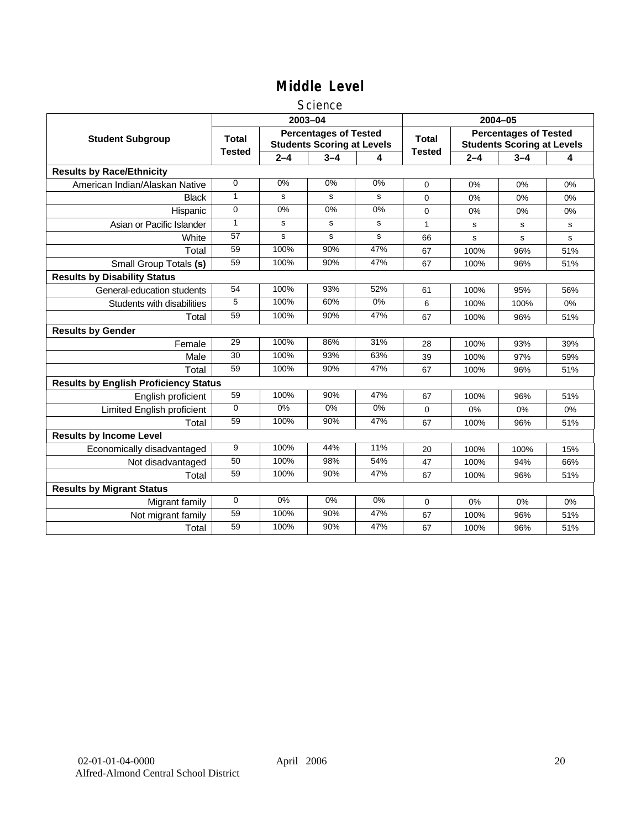### **Science**

|                                              |               |         | 2003-04                                                           |       | 2004-05       |             |                                                                   |     |
|----------------------------------------------|---------------|---------|-------------------------------------------------------------------|-------|---------------|-------------|-------------------------------------------------------------------|-----|
| <b>Student Subgroup</b>                      | <b>Total</b>  |         | <b>Percentages of Tested</b><br><b>Students Scoring at Levels</b> |       | <b>Total</b>  |             | <b>Percentages of Tested</b><br><b>Students Scoring at Levels</b> |     |
|                                              | <b>Tested</b> | $2 - 4$ | $3 - 4$                                                           | 4     | <b>Tested</b> | $2 - 4$     | $3 - 4$                                                           | 4   |
| <b>Results by Race/Ethnicity</b>             |               |         |                                                                   |       |               |             |                                                                   |     |
| American Indian/Alaskan Native               | $\mathbf 0$   | 0%      | 0%                                                                | 0%    | $\Omega$      | 0%          | 0%                                                                | 0%  |
| <b>Black</b>                                 | 1             | s       | s                                                                 | s     | 0             | 0%          | 0%                                                                | 0%  |
| Hispanic                                     | $\mathbf 0$   | 0%      | 0%                                                                | 0%    | $\Omega$      | 0%          | 0%                                                                | 0%  |
| Asian or Pacific Islander                    | $\mathbf{1}$  | s       | s                                                                 | s     | 1             | s           | s                                                                 | s   |
| White                                        | 57            | s       | s                                                                 | s     | 66            | $\mathbf s$ | s                                                                 | s   |
| Total                                        | 59            | 100%    | 90%                                                               | 47%   | 67            | 100%        | 96%                                                               | 51% |
| Small Group Totals (s)                       | 59            | 100%    | 90%                                                               | 47%   | 67            | 100%        | 96%                                                               | 51% |
| <b>Results by Disability Status</b>          |               |         |                                                                   |       |               |             |                                                                   |     |
| General-education students                   | 54            | 100%    | 93%                                                               | 52%   | 61            | 100%        | 95%                                                               | 56% |
| Students with disabilities                   | 5             | 100%    | 60%                                                               | $0\%$ | 6             | 100%        | 100%                                                              | 0%  |
| Total                                        | 59            | 100%    | 90%                                                               | 47%   | 67            | 100%        | 96%                                                               | 51% |
| <b>Results by Gender</b>                     |               |         |                                                                   |       |               |             |                                                                   |     |
| Female                                       | 29            | 100%    | 86%                                                               | 31%   | 28            | 100%        | 93%                                                               | 39% |
| Male                                         | 30            | 100%    | 93%                                                               | 63%   | 39            | 100%        | 97%                                                               | 59% |
| Total                                        | 59            | 100%    | 90%                                                               | 47%   | 67            | 100%        | 96%                                                               | 51% |
| <b>Results by English Proficiency Status</b> |               |         |                                                                   |       |               |             |                                                                   |     |
| English proficient                           | 59            | 100%    | 90%                                                               | 47%   | 67            | 100%        | 96%                                                               | 51% |
| <b>Limited English proficient</b>            | $\Omega$      | $0\%$   | 0%                                                                | 0%    | 0             | 0%          | 0%                                                                | 0%  |
| Total                                        | 59            | 100%    | 90%                                                               | 47%   | 67            | 100%        | 96%                                                               | 51% |
| <b>Results by Income Level</b>               |               |         |                                                                   |       |               |             |                                                                   |     |
| Economically disadvantaged                   | 9             | 100%    | 44%                                                               | 11%   | 20            | 100%        | 100%                                                              | 15% |
| Not disadvantaged                            | 50            | 100%    | 98%                                                               | 54%   | 47            | 100%        | 94%                                                               | 66% |
| Total                                        | 59            | 100%    | 90%                                                               | 47%   | 67            | 100%        | 96%                                                               | 51% |
| <b>Results by Migrant Status</b>             |               |         |                                                                   |       |               |             |                                                                   |     |
| Migrant family                               | $\mathbf 0$   | 0%      | 0%                                                                | 0%    | 0             | 0%          | 0%                                                                | 0%  |
| Not migrant family                           | 59            | 100%    | 90%                                                               | 47%   | 67            | 100%        | 96%                                                               | 51% |
| Total                                        | 59            | 100%    | 90%                                                               | 47%   | 67            | 100%        | 96%                                                               | 51% |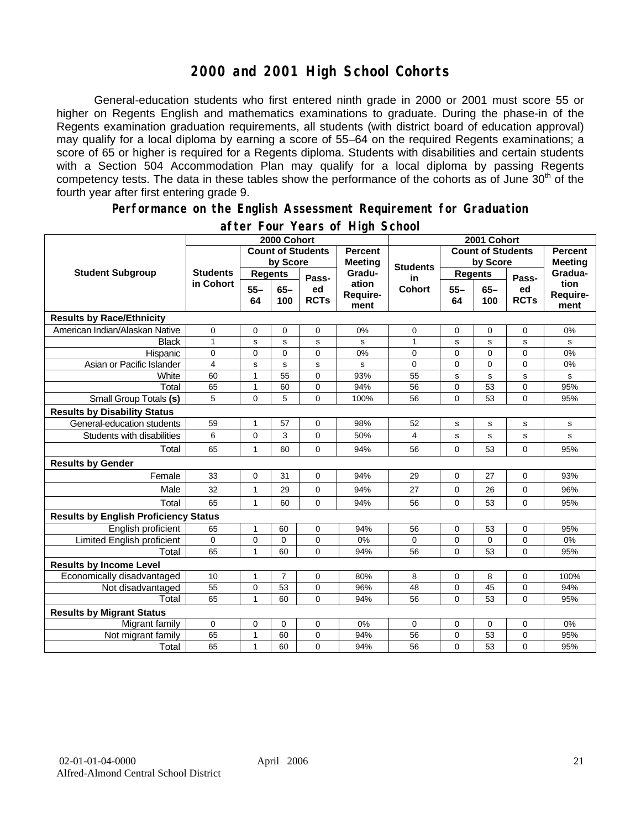# **2000 and 2001 High School Cohorts**

General-education students who first entered ninth grade in 2000 or 2001 must score 55 or higher on Regents English and mathematics examinations to graduate. During the phase-in of the Regents examination graduation requirements, all students (with district board of education approval) may qualify for a local diploma by earning a score of 55–64 on the required Regents examinations; a score of 65 or higher is required for a Regents diploma. Students with disabilities and certain students with a Section 504 Accommodation Plan may qualify for a local diploma by passing Regents competency tests. The data in these tables show the performance of the cohorts as of June 30<sup>th</sup> of the fourth year after first entering grade 9.

#### **Performance on the English Assessment Requirement for Graduation**

|                                              | 2000 Cohort                  |                          |                |                   |                                  | 2001 Cohort              |                |               |                   |                          |
|----------------------------------------------|------------------------------|--------------------------|----------------|-------------------|----------------------------------|--------------------------|----------------|---------------|-------------------|--------------------------|
| <b>Student Subgroup</b>                      |                              | <b>Count of Students</b> |                |                   | <b>Percent</b><br><b>Meeting</b> | <b>Count of Students</b> |                |               |                   | <b>Percent</b>           |
|                                              | <b>Students</b><br>in Cohort | by Score                 |                |                   |                                  | <b>Students</b>          | by Score       |               | <b>Meeting</b>    |                          |
|                                              |                              | <b>Regents</b>           |                | Pass-             | Gradu-                           | in                       | <b>Regents</b> |               | Pass-             | Gradua-                  |
|                                              |                              | $55 -$<br>64             | $65 -$<br>100  | ed<br><b>RCTs</b> | ation<br>Require-<br>ment        | <b>Cohort</b>            | $55 -$<br>64   | $65 -$<br>100 | ed<br><b>RCTs</b> | tion<br>Require-<br>ment |
| <b>Results by Race/Ethnicity</b>             |                              |                          |                |                   |                                  |                          |                |               |                   |                          |
| American Indian/Alaskan Native               | 0                            | 0                        | $\mathbf 0$    | 0                 | 0%                               | 0                        | 0              | $\mathbf 0$   | 0                 | 0%                       |
| <b>Black</b>                                 | $\mathbf{1}$                 | s                        | s              | s                 | s                                | 1                        | s              | s             | s                 | s                        |
| Hispanic                                     | 0                            | 0                        | 0              | 0                 | 0%                               | 0                        | 0              | $\mathbf 0$   | 0                 | 0%                       |
| Asian or Pacific Islander                    | 4                            | S                        | $\mathbf s$    | s                 | s                                | 0                        | 0              | $\mathbf 0$   | $\overline{0}$    | 0%                       |
| White                                        | 60                           | $\mathbf{1}$             | 55             | 0                 | 93%                              | 55                       | s              | $\mathbf s$   | s                 | s                        |
| Total                                        | 65                           | $\mathbf{1}$             | 60             | 0                 | 94%                              | 56                       | $\mathsf 0$    | 53            | 0                 | 95%                      |
| Small Group Totals (s)                       | 5                            | $\mathbf 0$              | 5              | $\Omega$          | 100%                             | 56                       | 0              | 53            | 0                 | 95%                      |
| <b>Results by Disability Status</b>          |                              |                          |                |                   |                                  |                          |                |               |                   |                          |
| General-education students                   | 59                           | $\mathbf{1}$             | 57             | 0                 | 98%                              | 52                       | s              | s             | s                 | s                        |
| Students with disabilities                   | 6                            | $\mathbf 0$              | 3              | 0                 | 50%                              | 4                        | s              | s             | s                 | s                        |
| Total                                        | 65                           | 1                        | 60             | 0                 | 94%                              | 56                       | 0              | 53            | 0                 | 95%                      |
| <b>Results by Gender</b>                     |                              |                          |                |                   |                                  |                          |                |               |                   |                          |
| Female                                       | 33                           | $\mathbf 0$              | 31             | 0                 | 94%                              | 29                       | 0              | 27            | 0                 | 93%                      |
| Male                                         | 32                           | 1                        | 29             | 0                 | 94%                              | 27                       | 0              | 26            | 0                 | 96%                      |
| Total                                        | 65                           | 1                        | 60             | 0                 | 94%                              | 56                       | $\overline{0}$ | 53            | 0                 | 95%                      |
| <b>Results by English Proficiency Status</b> |                              |                          |                |                   |                                  |                          |                |               |                   |                          |
| English proficient                           | 65                           | 1                        | 60             | 0                 | 94%                              | 56                       | 0              | 53            | 0                 | 95%                      |
| Limited English proficient                   | 0                            | 0                        | $\mathbf 0$    | 0                 | 0%                               | 0                        | 0              | 0             | 0                 | 0%                       |
| Total                                        | 65                           | 1                        | 60             | $\Omega$          | 94%                              | 56                       | $\Omega$       | 53            | $\Omega$          | 95%                      |
| <b>Results by Income Level</b>               |                              |                          |                |                   |                                  |                          |                |               |                   |                          |
| Economically disadvantaged                   | 10                           | $\mathbf{1}$             | $\overline{7}$ | 0                 | 80%                              | 8                        | 0              | 8             | 0                 | 100%                     |
| Not disadvantaged                            | 55                           | $\mathbf 0$              | 53             | 0                 | 96%                              | 48                       | $\mathbf 0$    | 45            | 0                 | 94%                      |
| Total                                        | 65                           | 1                        | 60             | $\Omega$          | 94%                              | 56                       | $\mathbf{0}$   | 53            | $\overline{0}$    | 95%                      |
| <b>Results by Migrant Status</b>             |                              |                          |                |                   |                                  |                          |                |               |                   |                          |
| Migrant family                               | 0                            | $\mathbf 0$              | 0              | 0                 | 0%                               | 0                        | 0              | 0             | 0                 | 0%                       |
| Not migrant family                           | 65                           | 1                        | 60             | 0                 | 94%                              | 56                       | 0              | 53            | 0                 | 95%                      |
| Total                                        | 65                           | 1                        | 60             | 0                 | 94%                              | 56                       | 0              | 53            | 0                 | 95%                      |

### **after Four Years of High School**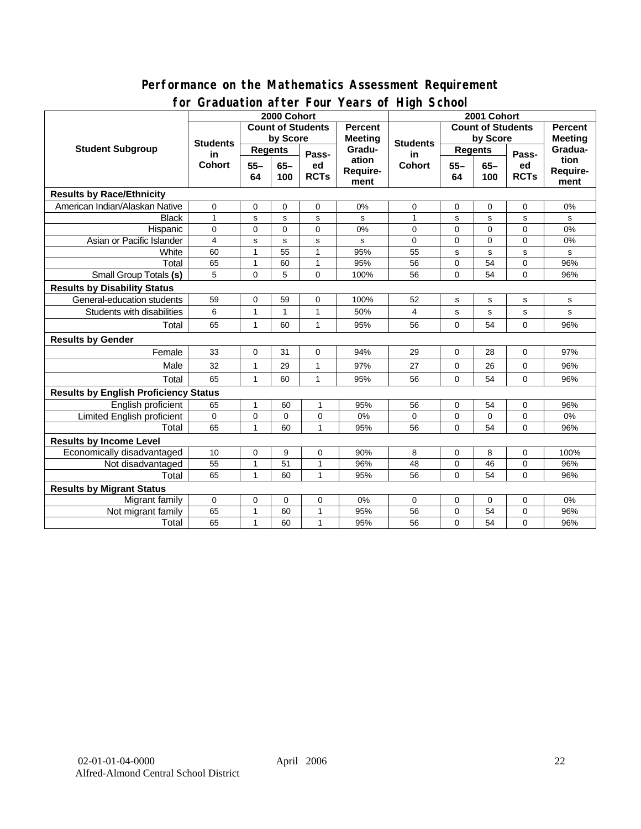### **Performance on the Mathematics Assessment Requirement for Graduation after Four Years of High School**

|                                              | <u><b>Example 1999</b></u> Town Teams of The Concern<br>2000 Cohort |                 |             |              |                 | 2001 Cohort                            |                |             |                |                |
|----------------------------------------------|---------------------------------------------------------------------|-----------------|-------------|--------------|-----------------|----------------------------------------|----------------|-------------|----------------|----------------|
| <b>Student Subgroup</b>                      | <b>Count of Students</b>                                            |                 |             |              | <b>Percent</b>  | <b>Count of Students</b>               |                |             | <b>Percent</b> |                |
|                                              | <b>Students</b><br>in<br><b>Cohort</b>                              | by Score        |             |              | <b>Meeting</b>  |                                        | by Score       |             |                | <b>Meeting</b> |
|                                              |                                                                     | <b>Regents</b>  |             |              | Gradu-<br>ation | <b>Students</b><br>in<br><b>Cohort</b> | <b>Regents</b> |             |                | Gradua-        |
|                                              |                                                                     | $55 -$<br>$65-$ |             | Pass-<br>ed  |                 |                                        | $55 -$         | $65-$       | Pass-<br>ed    | tion           |
|                                              |                                                                     | 64              | 100         | <b>RCTs</b>  | Require-        |                                        | 64             | 100         | <b>RCTs</b>    | Require-       |
|                                              |                                                                     |                 |             | ment         |                 |                                        |                |             | ment           |                |
| <b>Results by Race/Ethnicity</b>             |                                                                     |                 |             |              |                 |                                        |                |             |                |                |
| American Indian/Alaskan Native               | $\mathbf 0$                                                         | 0               | 0           | 0            | 0%              | 0                                      | 0              | 0           | 0              | 0%             |
| <b>Black</b>                                 | $\mathbf{1}$                                                        | $\mathbf s$     | s           | $\sf s$      | s               | $\mathbf{1}$                           | s              | s           | s              | s              |
| Hispanic                                     | $\mathbf 0$                                                         | $\mathbf 0$     | $\mathbf 0$ | 0            | 0%              | 0                                      | $\mathbf 0$    | $\mathbf 0$ | 0              | $0\%$          |
| Asian or Pacific Islander                    | $\overline{4}$                                                      | s               | s           | $\sf s$      | s               | 0                                      | $\mathbf 0$    | $\mathbf 0$ | 0              | 0%             |
| White                                        | 60                                                                  | $\mathbf{1}$    | 55          | 1            | 95%             | 55                                     | s              | s           | s              | s              |
| Total                                        | 65                                                                  | $\mathbf{1}$    | 60          | $\mathbf{1}$ | 95%             | 56                                     | $\mathbf 0$    | 54          | 0              | 96%            |
| <b>Small Group Totals (s)</b>                | 5                                                                   | 0               | 5           | $\Omega$     | 100%            | 56                                     | $\mathbf 0$    | 54          | $\overline{0}$ | 96%            |
| <b>Results by Disability Status</b>          |                                                                     |                 |             |              |                 |                                        |                |             |                |                |
| General-education students                   | 59                                                                  | $\mathbf 0$     | 59          | 0            | 100%            | 52                                     | s              | s           | s              | $\mathbf s$    |
| Students with disabilities                   | 6                                                                   | 1               | 1           | 1            | 50%             | 4                                      | s              | $\mathbf s$ | s              | $\mathbf s$    |
| Total                                        | 65                                                                  | $\mathbf{1}$    | 60          | $\mathbf{1}$ | 95%             | 56                                     | $\Omega$       | 54          | 0              | 96%            |
| <b>Results by Gender</b>                     |                                                                     |                 |             |              |                 |                                        |                |             |                |                |
| Female                                       | 33                                                                  | 0               | 31          | $\mathbf 0$  | 94%             | 29                                     | 0              | 28          | 0              | 97%            |
| Male                                         | 32                                                                  | $\mathbf{1}$    | 29          | $\mathbf{1}$ | 97%             | 27                                     | $\mathbf 0$    | 26          | 0              | 96%            |
| Total                                        | 65                                                                  | 1               | 60          | $\mathbf{1}$ | 95%             | 56                                     | $\mathbf 0$    | 54          | $\mathbf 0$    | 96%            |
| <b>Results by English Proficiency Status</b> |                                                                     |                 |             |              |                 |                                        |                |             |                |                |
| English proficient                           | 65                                                                  | 1               | 60          | $\mathbf{1}$ | 95%             | 56                                     | 0              | 54          | 0              | 96%            |
| Limited English proficient                   | 0                                                                   | $\mathbf 0$     | 0           | 0            | 0%              | 0                                      | $\mathbf 0$    | $\mathbf 0$ | 0              | 0%             |
| Total                                        | 65                                                                  | 1               | 60          | $\mathbf{1}$ | 95%             | 56                                     | $\Omega$       | 54          | 0              | 96%            |
| <b>Results by Income Level</b>               |                                                                     |                 |             |              |                 |                                        |                |             |                |                |
| Economically disadvantaged                   | 10                                                                  | 0               | 9           | 0            | 90%             | 8                                      | 0              | 8           | 0              | 100%           |
| Not disadvantaged                            | 55                                                                  | 1               | 51          | 1            | 96%             | 48                                     | $\mathbf 0$    | 46          | 0              | 96%            |
| Total                                        | 65                                                                  | 1               | 60          | $\mathbf{1}$ | 95%             | 56                                     | $\mathbf 0$    | 54          | $\Omega$       | 96%            |
| <b>Results by Migrant Status</b>             |                                                                     |                 |             |              |                 |                                        |                |             |                |                |
| Migrant family                               | $\mathbf 0$                                                         | 0               | 0           | 0            | 0%              | 0                                      | 0              | 0           | 0              | 0%             |
| Not migrant family                           | 65                                                                  | 1               | 60          | $\mathbf{1}$ | 95%             | 56                                     | 0              | 54          | 0              | 96%            |
| Total                                        | 65                                                                  | 1               | 60          | $\mathbf{1}$ | 95%             | 56                                     | $\pmb{0}$      | 54          | 0              | 96%            |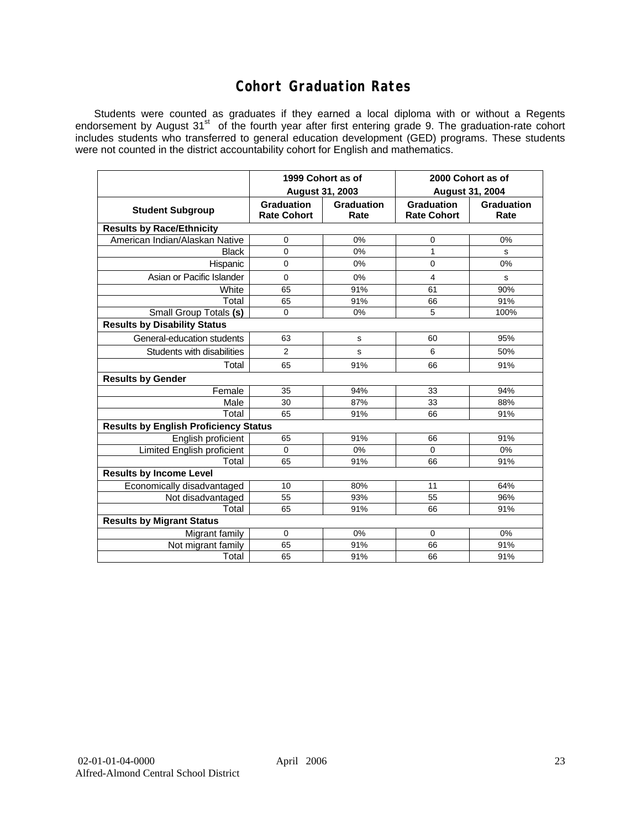# **Cohort Graduation Rates**

Students were counted as graduates if they earned a local diploma with or without a Regents endorsement by August 31<sup>st</sup> of the fourth year after first entering grade 9. The graduation-rate cohort includes students who transferred to general education development (GED) programs. These students were not counted in the district accountability cohort for English and mathematics.

|                                              | 1999 Cohort as of                |                    | 2000 Cohort as of                |                    |  |  |  |  |  |  |
|----------------------------------------------|----------------------------------|--------------------|----------------------------------|--------------------|--|--|--|--|--|--|
|                                              | August 31, 2003                  |                    | <b>August 31, 2004</b>           |                    |  |  |  |  |  |  |
| <b>Student Subgroup</b>                      | Graduation<br><b>Rate Cohort</b> | Graduation<br>Rate | Graduation<br><b>Rate Cohort</b> | Graduation<br>Rate |  |  |  |  |  |  |
| <b>Results by Race/Ethnicity</b>             |                                  |                    |                                  |                    |  |  |  |  |  |  |
| American Indian/Alaskan Native               | 0                                | 0%                 | 0                                | 0%                 |  |  |  |  |  |  |
| <b>Black</b>                                 | $\mathbf{0}$                     | 0%                 | 1                                | s                  |  |  |  |  |  |  |
| Hispanic                                     | $\mathbf 0$                      | 0%                 | $\mathbf 0$                      | 0%                 |  |  |  |  |  |  |
| Asian or Pacific Islander                    | $\Omega$                         | 0%                 | 4                                | s                  |  |  |  |  |  |  |
| White                                        | 65                               | 91%                | 61                               | 90%                |  |  |  |  |  |  |
| Total                                        | 65                               | 91%                | 66                               | 91%                |  |  |  |  |  |  |
| Small Group Totals (s)                       | $\Omega$                         | 0%                 | 5                                | 100%               |  |  |  |  |  |  |
| <b>Results by Disability Status</b>          |                                  |                    |                                  |                    |  |  |  |  |  |  |
| General-education students                   | 63                               | s                  | 60                               | 95%                |  |  |  |  |  |  |
| Students with disabilities                   | 2                                | S                  | 6                                | 50%                |  |  |  |  |  |  |
| Total                                        | 65                               | 91%                | 66                               | 91%                |  |  |  |  |  |  |
| <b>Results by Gender</b>                     |                                  |                    |                                  |                    |  |  |  |  |  |  |
| Female                                       | 35                               | 94%                | 33                               | 94%                |  |  |  |  |  |  |
| Male                                         | 30                               | 87%                | 33                               | 88%                |  |  |  |  |  |  |
| Total                                        | 65                               | 91%                | 66                               | 91%                |  |  |  |  |  |  |
| <b>Results by English Proficiency Status</b> |                                  |                    |                                  |                    |  |  |  |  |  |  |
| English proficient                           | 65                               | 91%                | 66                               | 91%                |  |  |  |  |  |  |
| <b>Limited English proficient</b>            | $\Omega$                         | 0%                 | 0                                | 0%                 |  |  |  |  |  |  |
| Total                                        | 65                               | 91%                | 66                               | 91%                |  |  |  |  |  |  |
| <b>Results by Income Level</b>               |                                  |                    |                                  |                    |  |  |  |  |  |  |
| Economically disadvantaged                   | 10                               | 80%                | 11                               | 64%                |  |  |  |  |  |  |
| Not disadvantaged                            | 55                               | 93%                | 55                               | 96%                |  |  |  |  |  |  |
| Total                                        | 65                               | 91%                | 66                               | 91%                |  |  |  |  |  |  |
| <b>Results by Migrant Status</b>             |                                  |                    |                                  |                    |  |  |  |  |  |  |
| Migrant family                               | 0                                | 0%                 | $\mathbf 0$                      | 0%                 |  |  |  |  |  |  |
| Not migrant family                           | 65                               | 91%                | 66                               | 91%                |  |  |  |  |  |  |
| Total                                        | 65                               | 91%                | 66                               | 91%                |  |  |  |  |  |  |